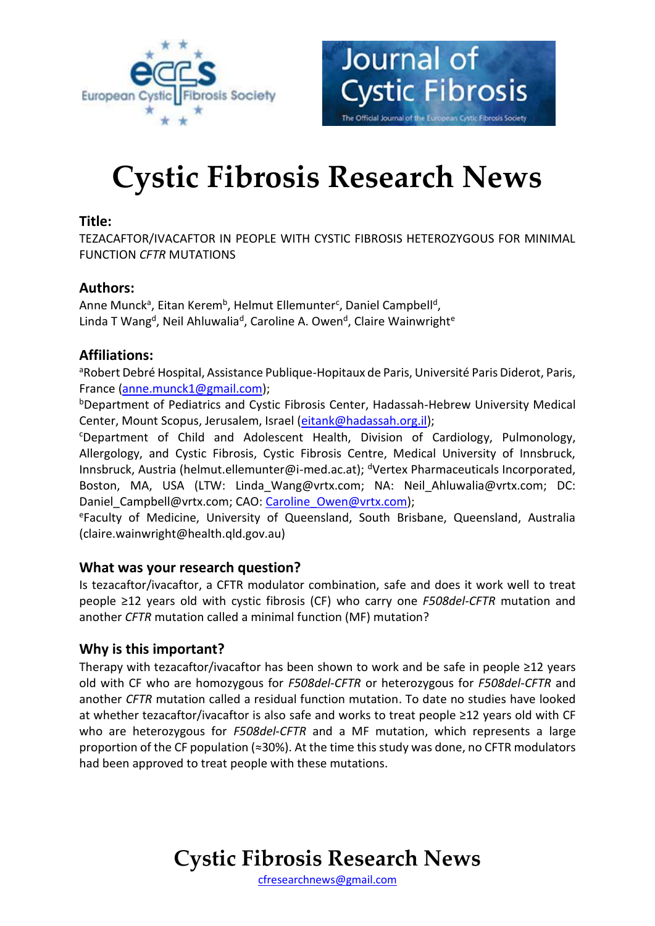



# **Cystic Fibrosis Research News**

### **Title:**

TEZACAFTOR/IVACAFTOR IN PEOPLE WITH CYSTIC FIBROSIS HETEROZYGOUS FOR MINIMAL FUNCTION *CFTR* MUTATIONS

# **Authors:**

Anne Munck<sup>a</sup>, Eitan Kerem<sup>b</sup>, Helmut Ellemunter<sup>c</sup>, Daniel Campbell<sup>d</sup>, Linda T Wang<sup>d</sup>, Neil Ahluwalia<sup>d</sup>, Caroline A. Owen<sup>d</sup>, Claire Wainwright<sup>e</sup>

# **Affiliations:**

aRobert Debré Hospital, Assistance Publique-Hopitaux de Paris, Université Paris Diderot, Paris, France [\(anne.munck1@gmail.com\)](mailto:anne.munck1@gmail.com);

<sup>b</sup>Department of Pediatrics and Cystic Fibrosis Center, Hadassah-Hebrew University Medical Center, Mount Scopus, Jerusalem, Israel [\(eitank@hadassah.org.il\)](mailto:eitank@hadassah.org.il);

<sup>c</sup>Department of Child and Adolescent Health, Division of Cardiology, Pulmonology, Allergology, and Cystic Fibrosis, Cystic Fibrosis Centre, Medical University of Innsbruck, Innsbruck, Austria (helmut.ellemunter@i-med.ac.at); <sup>d</sup>Vertex Pharmaceuticals Incorporated, Boston, MA, USA (LTW: Linda Wang@vrtx.com; NA: Neil Ahluwalia@vrtx.com; DC: Daniel Campbell@vrtx.com; CAO: Caroline Owen@vrtx.com);

<sup>e</sup>Faculty of Medicine, University of Queensland, South Brisbane, Queensland, Australia (claire.wainwright@health.qld.gov.au)

### **What was your research question?**

Is tezacaftor/ivacaftor, a CFTR modulator combination, safe and does it work well to treat people ≥12 years old with cystic fibrosis (CF) who carry one *F508del-CFTR* mutation and another *CFTR* mutation called a minimal function (MF) mutation?

# **Why is this important?**

Therapy with tezacaftor/ivacaftor has been shown to work and be safe in people ≥12 years old with CF who are homozygous for *F508del-CFTR* or heterozygous for *F508del-CFTR* and another *CFTR* mutation called a residual function mutation. To date no studies have looked at whether tezacaftor/ivacaftor is also safe and works to treat people ≥12 years old with CF who are heterozygous for *F508del-CFTR* and a MF mutation, which represents a large proportion of the CF population (≈30%). At the time this study was done, no CFTR modulators had been approved to treat people with these mutations.

# **Cystic Fibrosis Research News**

[cfresearchnews@gmail.com](mailto:cfresearchnews@gmail.com)